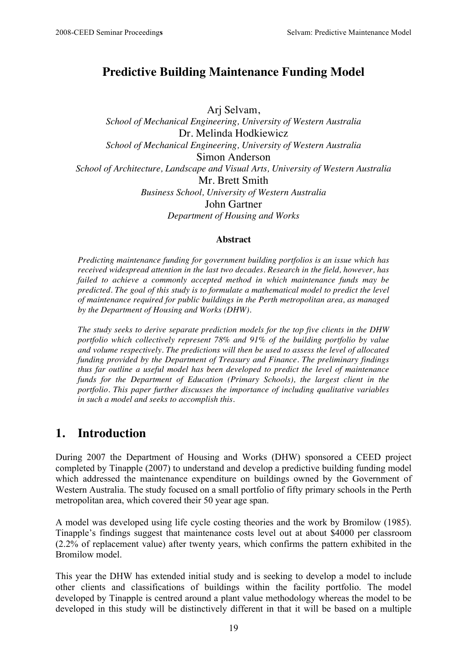## **Predictive Building Maintenance Funding Model**

Arj Selvam, *School of Mechanical Engineering, University of Western Australia* Dr. Melinda Hodkiewicz *School of Mechanical Engineering, University of Western Australia* Simon Anderson *School of Architecture, Landscape and Visual Arts, University of Western Australia* Mr. Brett Smith *Business School, University of Western Australia* John Gartner *Department of Housing and Works*

#### **Abstract**

*Predicting maintenance funding for government building portfolios is an issue which has received widespread attention in the last two decades. Research in the field, however, has failed to achieve a commonly accepted method in which maintenance funds may be predicted. The goal of this study is to formulate a mathematical model to predict the level of maintenance required for public buildings in the Perth metropolitan area, as managed by the Department of Housing and Works (DHW).*

*The study seeks to derive separate prediction models for the top five clients in the DHW portfolio which collectively represent 78% and 91% of the building portfolio by value and volume respectively. The predictions will then be used to assess the level of allocated funding provided by the Department of Treasury and Finance. The preliminary findings thus far outline a useful model has been developed to predict the level of maintenance funds for the Department of Education (Primary Schools), the largest client in the portfolio. This paper further discusses the importance of including qualitative variables in such a model and seeks to accomplish this.*

### **1. Introduction**

During 2007 the Department of Housing and Works (DHW) sponsored a CEED project completed by Tinapple (2007) to understand and develop a predictive building funding model which addressed the maintenance expenditure on buildings owned by the Government of Western Australia. The study focused on a small portfolio of fifty primary schools in the Perth metropolitan area, which covered their 50 year age span.

A model was developed using life cycle costing theories and the work by Bromilow (1985). Tinapple's findings suggest that maintenance costs level out at about \$4000 per classroom (2.2% of replacement value) after twenty years, which confirms the pattern exhibited in the Bromilow model.

This year the DHW has extended initial study and is seeking to develop a model to include other clients and classifications of buildings within the facility portfolio. The model developed by Tinapple is centred around a plant value methodology whereas the model to be developed in this study will be distinctively different in that it will be based on a multiple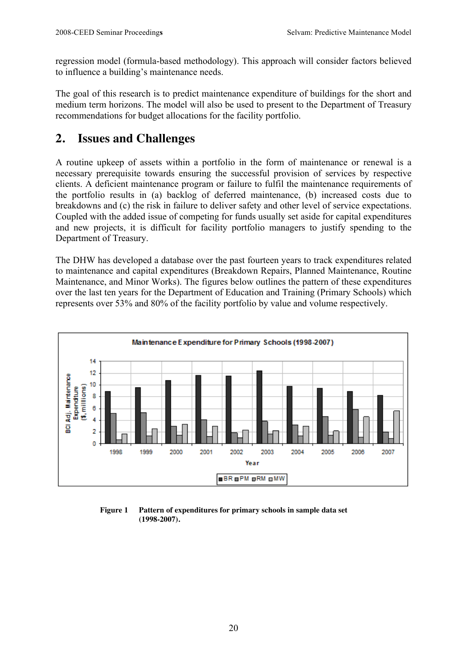regression model (formula-based methodology). This approach will consider factors believed to influence a building's maintenance needs.

The goal of this research is to predict maintenance expenditure of buildings for the short and medium term horizons. The model will also be used to present to the Department of Treasury recommendations for budget allocations for the facility portfolio.

## **2. Issues and Challenges**

A routine upkeep of assets within a portfolio in the form of maintenance or renewal is a necessary prerequisite towards ensuring the successful provision of services by respective clients. A deficient maintenance program or failure to fulfil the maintenance requirements of the portfolio results in (a) backlog of deferred maintenance, (b) increased costs due to breakdowns and (c) the risk in failure to deliver safety and other level of service expectations. Coupled with the added issue of competing for funds usually set aside for capital expenditures and new projects, it is difficult for facility portfolio managers to justify spending to the Department of Treasury.

The DHW has developed a database over the past fourteen years to track expenditures related to maintenance and capital expenditures (Breakdown Repairs, Planned Maintenance, Routine Maintenance, and Minor Works). The figures below outlines the pattern of these expenditures over the last ten years for the Department of Education and Training (Primary Schools) which represents over 53% and 80% of the facility portfolio by value and volume respectively.



**Figure 1 Pattern of expenditures for primary schools in sample data set (1998-2007).**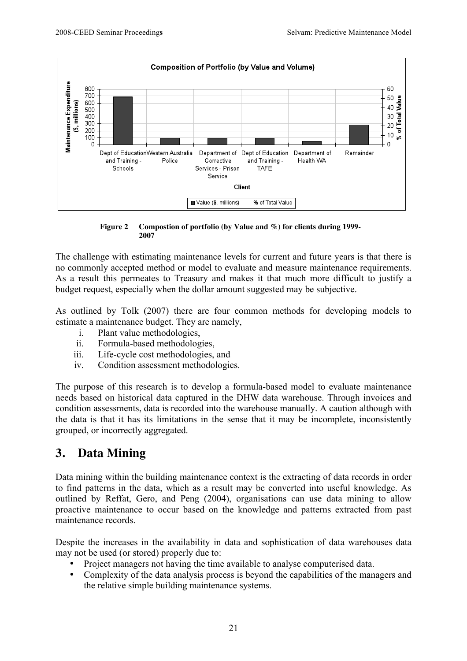

**Figure 2 Compostion of portfolio (by Value and %) for clients during 1999- 2007**

The challenge with estimating maintenance levels for current and future years is that there is no commonly accepted method or model to evaluate and measure maintenance requirements. As a result this permeates to Treasury and makes it that much more difficult to justify a budget request, especially when the dollar amount suggested may be subjective.

As outlined by Tolk (2007) there are four common methods for developing models to estimate a maintenance budget. They are namely,

- i. Plant value methodologies,
- ii. Formula-based methodologies,
- iii. Life-cycle cost methodologies, and
- iv. Condition assessment methodologies.

The purpose of this research is to develop a formula-based model to evaluate maintenance needs based on historical data captured in the DHW data warehouse. Through invoices and condition assessments, data is recorded into the warehouse manually. A caution although with the data is that it has its limitations in the sense that it may be incomplete, inconsistently grouped, or incorrectly aggregated.

## **3. Data Mining**

Data mining within the building maintenance context is the extracting of data records in order to find patterns in the data, which as a result may be converted into useful knowledge. As outlined by Reffat, Gero, and Peng (2004), organisations can use data mining to allow proactive maintenance to occur based on the knowledge and patterns extracted from past maintenance records.

Despite the increases in the availability in data and sophistication of data warehouses data may not be used (or stored) properly due to:

- Project managers not having the time available to analyse computerised data.
- Complexity of the data analysis process is beyond the capabilities of the managers and the relative simple building maintenance systems.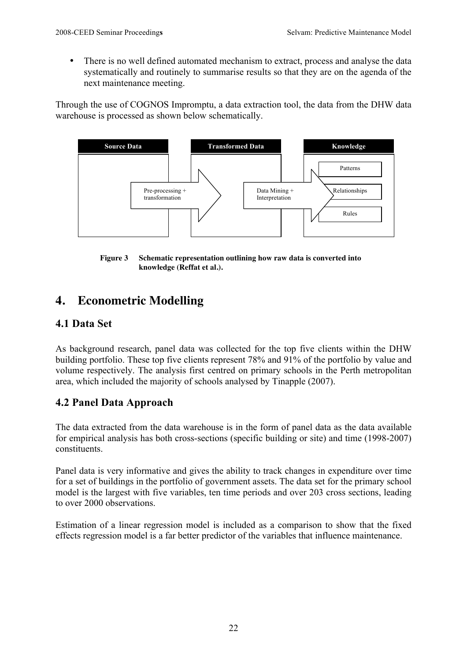• There is no well defined automated mechanism to extract, process and analyse the data systematically and routinely to summarise results so that they are on the agenda of the next maintenance meeting.

Through the use of COGNOS Impromptu, a data extraction tool, the data from the DHW data warehouse is processed as shown below schematically.



**Figure 3 Schematic representation outlining how raw data is converted into knowledge (Reffat et al.).**

# **4. Econometric Modelling**

#### **4.1 Data Set**

As background research, panel data was collected for the top five clients within the DHW building portfolio. These top five clients represent 78% and 91% of the portfolio by value and volume respectively. The analysis first centred on primary schools in the Perth metropolitan area, which included the majority of schools analysed by Tinapple (2007).

### **4.2 Panel Data Approach**

The data extracted from the data warehouse is in the form of panel data as the data available for empirical analysis has both cross-sections (specific building or site) and time (1998-2007) constituents.

Panel data is very informative and gives the ability to track changes in expenditure over time for a set of buildings in the portfolio of government assets. The data set for the primary school model is the largest with five variables, ten time periods and over 203 cross sections, leading to over 2000 observations.

Estimation of a linear regression model is included as a comparison to show that the fixed effects regression model is a far better predictor of the variables that influence maintenance.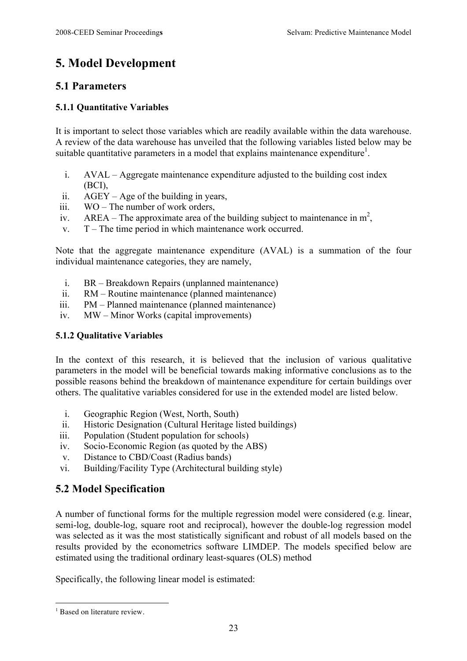# **5. Model Development**

#### **5.1 Parameters**

#### **5.1.1 Quantitative Variables**

It is important to select those variables which are readily available within the data warehouse. A review of the data warehouse has unveiled that the following variables listed below may be suitable quantitative parameters in a model that explains maintenance expenditure<sup>1</sup>.

- i. AVAL Aggregate maintenance expenditure adjusted to the building cost index (BCI),
- ii. AGEY Age of the building in years,
- iii. WO The number of work orders,
- iv. AREA The approximate area of the building subject to maintenance in  $m^2$ ,
- v. T The time period in which maintenance work occurred.

Note that the aggregate maintenance expenditure (AVAL) is a summation of the four individual maintenance categories, they are namely,

- i. BR Breakdown Repairs (unplanned maintenance)
- ii. RM Routine maintenance (planned maintenance)
- iii. PM Planned maintenance (planned maintenance)
- iv. MW Minor Works (capital improvements)

#### **5.1.2 Qualitative Variables**

In the context of this research, it is believed that the inclusion of various qualitative parameters in the model will be beneficial towards making informative conclusions as to the possible reasons behind the breakdown of maintenance expenditure for certain buildings over others. The qualitative variables considered for use in the extended model are listed below.

- i. Geographic Region (West, North, South)
- ii. Historic Designation (Cultural Heritage listed buildings)
- iii. Population (Student population for schools)
- iv. Socio-Economic Region (as quoted by the ABS)
- v. Distance to CBD/Coast (Radius bands)
- vi. Building/Facility Type (Architectural building style)

### **5.2 Model Specification**

A number of functional forms for the multiple regression model were considered (e.g. linear, semi-log, double-log, square root and reciprocal), however the double-log regression model was selected as it was the most statistically significant and robust of all models based on the results provided by the econometrics software LIMDEP. The models specified below are estimated using the traditional ordinary least-squares (OLS) method

Specifically, the following linear model is estimated:

 $\overline{a}$ 

<sup>&</sup>lt;sup>1</sup> Based on literature review.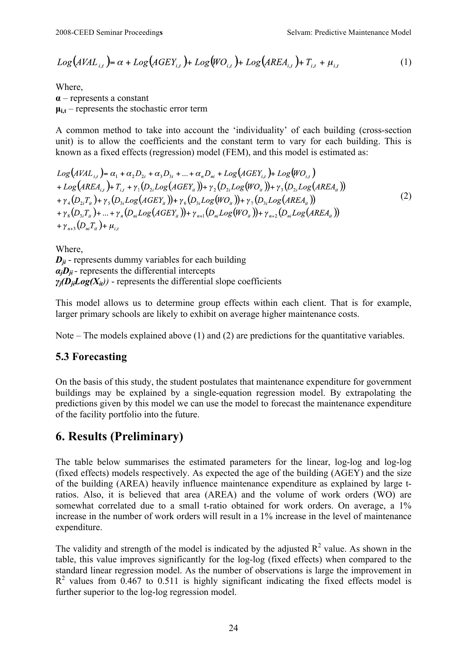$$
Log(AVAL_{i,t}) = \alpha + Log(AGEY_{i,t}) + Log(WO_{i,t}) + Log(AREA_{i,t}) + T_{i,t} + \mu_{i,t}
$$
 (1)

Where, **α** – represents a constant  $\mu_{i,t}$  – represents the stochastic error term

A common method to take into account the 'individuality' of each building (cross-section unit) is to allow the coefficients and the constant term to vary for each building. This is known as a fixed effects (regression) model (FEM), and this model is estimated as:

 $Log(AVAL_{i,t}) = \alpha_1 + \alpha_2 D_{2i} + \alpha_3 D_{3i} + ... + \alpha_n D_{ni} + Log(AGEY_{i,t}) + Log(WO_{i,t})$ + Log(AREA<sub>i</sub>, )+ T<sub>i</sub> +  $\gamma_1(D_2, Log(AGEY_i))$ +  $\gamma_2(D_2, Log(WO_i))$ +  $\gamma_2(D_2, Log(AREA_i))$  $+\gamma_4(D_{2i}T_u)+\gamma_5(D_{3i}Log(AGEY_u))+\gamma_6(D_{3i}Log(WO_u))+\gamma_7(D_{3i}Log(AREA_u))$ (2)  $+\gamma_s(D_{\nu}T_{\nu})+...+\gamma_s(D_{\nu}Log(AGEY_{\nu}))+\gamma_{\nu+1}(D_{\nu}Log(WO_{\nu}))+\gamma_{\nu+2}(D_{\nu}Log(AREA_{\nu}))$ +  $\gamma_{n+3}(D_{ni}T_{it})$  +  $\mu_{it}$ 

Where  $D_{ii}$  - represents dummy variables for each building  $a_i$ *D<sub>ii</sub>* - represents the differential intercepts  $\gamma_i(\mathbf{D}_{ii}Log(X_{ii}))$  - represents the differential slope coefficients

This model allows us to determine group effects within each client. That is for example, larger primary schools are likely to exhibit on average higher maintenance costs.

Note – The models explained above (1) and (2) are predictions for the quantitative variables.

#### **5.3 Forecasting**

On the basis of this study, the student postulates that maintenance expenditure for government buildings may be explained by a single-equation regression model. By extrapolating the predictions given by this model we can use the model to forecast the maintenance expenditure of the facility portfolio into the future.

## **6. Results (Preliminary)**

The table below summarises the estimated parameters for the linear, log-log and log-log (fixed effects) models respectively. As expected the age of the building (AGEY) and the size of the building (AREA) heavily influence maintenance expenditure as explained by large tratios. Also, it is believed that area (AREA) and the volume of work orders (WO) are somewhat correlated due to a small t-ratio obtained for work orders. On average, a 1% increase in the number of work orders will result in a 1% increase in the level of maintenance expenditure.

The validity and strength of the model is indicated by the adjusted  $R^2$  value. As shown in the table, this value improves significantly for the log-log (fixed effects) when compared to the standard linear regression model. As the number of observations is large the improvement in  $R<sup>2</sup>$  values from 0.467 to 0.511 is highly significant indicating the fixed effects model is further superior to the log-log regression model.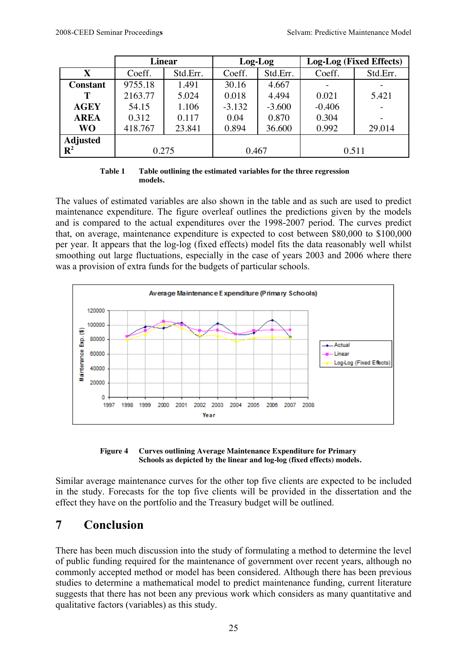|                 | <b>Linear</b> |          | Log-Log  |          | Log-Log (Fixed Effects) |          |
|-----------------|---------------|----------|----------|----------|-------------------------|----------|
| $\mathbf X$     | Coeff.        | Std.Err. | Coeff.   | Std.Err. | Coeff.                  | Std.Err. |
| <b>Constant</b> | 9755.18       | 1.491    | 30.16    | 4.667    |                         |          |
| Т               | 2163.77       | 5.024    | 0.018    | 4.494    | 0.021                   | 5.421    |
| <b>AGEY</b>     | 54.15         | 1.106    | $-3.132$ | $-3.600$ | $-0.406$                |          |
| <b>AREA</b>     | 0.312         | 0.117    | 0.04     | 0.870    | 0.304                   |          |
| <b>WO</b>       | 418.767       | 23.841   | 0.894    | 36.600   | 0.992                   | 29.014   |
| Adjusted $R^2$  |               |          |          |          |                         |          |
|                 | 0.275         |          | 0.467    |          | 0.511                   |          |

| Table 1 | Table outlining the estimated variables for the three regression |
|---------|------------------------------------------------------------------|
|         | models.                                                          |

The values of estimated variables are also shown in the table and as such are used to predict maintenance expenditure. The figure overleaf outlines the predictions given by the models and is compared to the actual expenditures over the 1998-2007 period. The curves predict that, on average, maintenance expenditure is expected to cost between \$80,000 to \$100,000 per year. It appears that the log-log (fixed effects) model fits the data reasonably well whilst smoothing out large fluctuations, especially in the case of years 2003 and 2006 where there was a provision of extra funds for the budgets of particular schools.



**Figure 4 Curves outlining Average Maintenance Expenditure for Primary Schools as depicted by the linear and log-log (fixed effects) models.**

Similar average maintenance curves for the other top five clients are expected to be included in the study. Forecasts for the top five clients will be provided in the dissertation and the effect they have on the portfolio and the Treasury budget will be outlined.

## **7 Conclusion**

There has been much discussion into the study of formulating a method to determine the level of public funding required for the maintenance of government over recent years, although no commonly accepted method or model has been considered. Although there has been previous studies to determine a mathematical model to predict maintenance funding, current literature suggests that there has not been any previous work which considers as many quantitative and qualitative factors (variables) as this study.